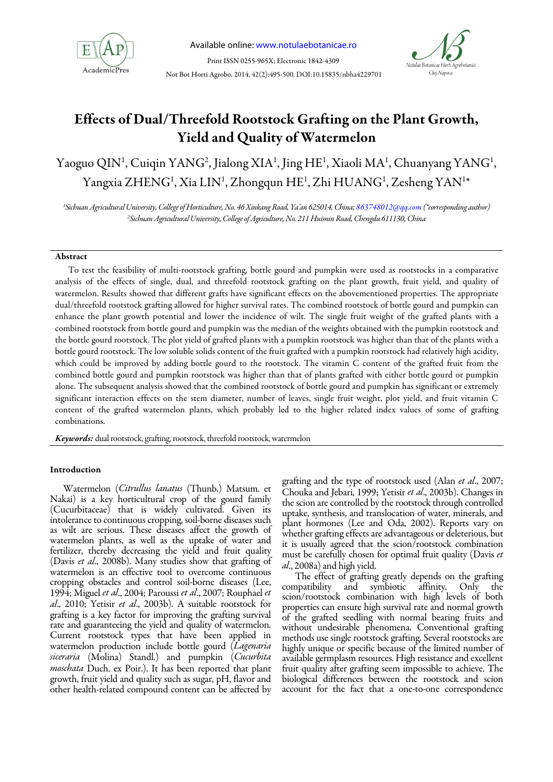

Print ISSN 0255-965X; Electronic 1842-4309 Not Bot Horti Agrobo, 2014, 42(2):495-500. DOI:10.15835/nbha4229701



# Effects of Dual/Threefold Rootstock Grafting on the Plant Growth, Yield and Quality of Watermelon

Yaoguo QIN<sup>1</sup>, Cuiqin YANG<sup>2</sup>, Jialong XIA<sup>1</sup>, Jing HE<sup>1</sup>, Xiaoli MA<sup>1</sup>, Chuanyang YANG<sup>1</sup>, Yangxia ZHENG<sup>1</sup>, Xia LIN<sup>1</sup>, Zhongqun HE<sup>1</sup>, Zhi HUANG<sup>1</sup>, Zesheng YAN<sup>1\*</sup>

<sup>1</sup>Sichuan Agricultural University, College of Horticulture, No. 46 Xinkang Road, Ya'an 625014, China; 863748012@qq.com (\*corresponding author) <sup>2</sup>Sichuan Agricultural University, College of Agriculture, No. 211 Huimin Road, Chengdu 611130, China

# Abstract

To test the feasibility of multi-rootstock grafting, bottle gourd and pumpkin were used as rootstocks in a comparative analysis of the effects of single, dual, and threefold rootstock grafting on the plant growth, fruit yield, and quality of watermelon. Results showed that different grafts have significant effects on the abovementioned properties. The appropriate dual/threefold rootstock grafting allowed for higher survival rates. The combined rootstock of bottle gourd and pumpkin can enhance the plant growth potential and lower the incidence of wilt. The single fruit weight of the grafted plants with a combined rootstock from bottle gourd and pumpkin was the median of the weights obtained with the pumpkin rootstock and the bottle gourd rootstock. The plot yield of grafted plants with a pumpkin rootstock was higher than that of the plants with a bottle gourd rootstock. The low soluble solids content of the fruit grafted with a pumpkin rootstock had relatively high acidity, which could be improved by adding bottle gourd to the rootstock. The vitamin C content of the grafted fruit from the combined bottle gourd and pumpkin rootstock was higher than that of plants grafted with either bottle gourd or pumpkin alone. The subsequent analysis showed that the combined rootstock of bottle gourd and pumpkin has significant or extremely significant interaction effects on the stem diameter, number of leaves, single fruit weight, plot yield, and fruit vitamin C content of the grafted watermelon plants, which probably led to the higher related index values of some of grafting combinations.

Keywords: dual rootstock, grafting, rootstock, threefold rootstock, watermelon

## Introduction

Watermelon (Citrullus lanatus (Thunb.) Matsum. et Nakai) is a key horticultural crop of the gourd family (Cucurbitaceae) that is widely cultivated. Given its intolerance to continuous cropping, soil-borne diseases such as wilt are serious. These diseases affect the growth of watermelon plants, as well as the uptake of water and fertilizer, thereby decreasing the yield and fruit quality (Davis et al., 2008b). Many studies show that grafting of watermelon is an effective tool to overcome continuous cropping obstacles and control soil-borne diseases (Lee, 1994; Miguel et al., 2004; Paroussi et al., 2007; Rouphael et al., 2010; Yetisir et al., 2003b). A suitable rootstock for grafting is a key factor for improving the grafting survival rate and guaranteeing the yield and quality of watermelon. Current rootstock types that have been applied in watermelon production include bottle gourd (Lagenaria siceraria (Molina) Standl.) and pumpkin (Cucurbita moschata Duch. ex Poir.). It has been reported that plant growth, fruit yield and quality such as sugar, pH, flavor and other health-related compound content can be affected by

grafting and the type of rootstock used (Alan et al., 2007; Chouka and Jebari, 1999; Yetisir et al., 2003b). Changes in the scion are controlled by the rootstock through controlled uptake, synthesis, and translocation of water, minerals, and plant hormones (Lee and Oda, 2002). Reports vary on whether grafting effects are advantageous or deleterious, but it is usually agreed that the scion/rootstock combination must be carefully chosen for optimal fruit quality (Davis et al., 2008a) and high yield.

The effect of grafting greatly depends on the grafting<br>npatibility and symbiotic affinity. Only the compatibility and symbiotic affinity. Only the scion/rootstock combination with high levels of both properties can ensure high survival rate and normal growth of the grafted seedling with normal bearing fruits and without undesirable phenomena. Conventional grafting methods use single rootstock grafting. Several rootstocks are highly unique or specific because of the limited number of available germplasm resources. High resistance and excellent fruit quality after grafting seem impossible to achieve. The biological differences between the rootstock and scion account for the fact that a one-to-one correspondence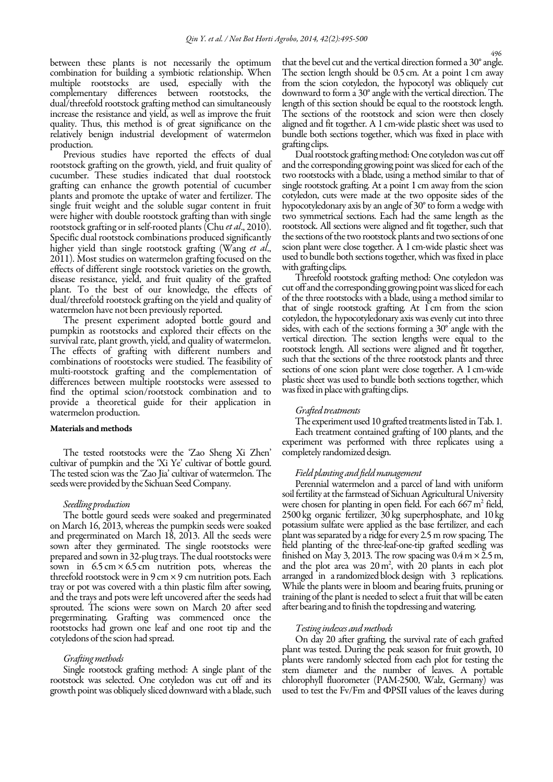between these plants is not necessarily the optimum combination for building a symbiotic relationship. When multiple rootstocks are used, especially with the complementary differences between rootstocks, the dual/threefold rootstock grafting method can simultaneously increase the resistance and yield, as well as improve the fruit quality. Thus, this method is of great significance on the relatively benign industrial development of watermelon production.

Previous studies have reported the effects of dual rootstock grafting on the growth, yield, and fruit quality of cucumber. These studies indicated that dual rootstock grafting can enhance the growth potential of cucumber plants and promote the uptake of water and fertilizer. The single fruit weight and the soluble sugar content in fruit were higher with double rootstock grafting than with single rootstock grafting or in self-rooted plants (Chu et al., 2010). Specific dual rootstock combinations produced significantly higher yield than single rootstock grafting (Wang et al., 2011). Most studies on watermelon grafting focused on the effects of different single rootstock varieties on the growth, disease resistance, yield, and fruit quality of the grafted plant. To the best of our knowledge, the effects of dual/threefold rootstock grafting on the yield and quality of watermelon have not been previously reported.

The present experiment adopted bottle gourd and pumpkin as rootstocks and explored their effects on the survival rate, plant growth, yield, and quality of watermelon. The effects of grafting with different numbers and combinations of rootstocks were studied. The feasibility of multi-rootstock grafting and the complementation of differences between multiple rootstocks were assessed to find the optimal scion/rootstock combination and to provide a theoretical guide for their application in watermelon production.

#### Materials and methods

The tested rootstocks were the 'Zao Sheng Xi Zhen' cultivar of pumpkin and the 'Xi Ye' cultivar of bottle gourd. The tested scion was the 'Zao Jia' cultivar of watermelon. The seeds were provided by the Sichuan Seed Company.

## Seedling production

The bottle gourd seeds were soaked and pregerminated on March 16, 2013, whereas the pumpkin seeds were soaked and pregerminated on March 18, 2013. All the seeds were sown after they germinated. The single rootstocks were prepared and sown in 32-plug trays. The dual rootstocks were sown in  $6.5 \text{ cm} \times 6.5 \text{ cm}$  nutrition pots, whereas the threefold rootstock were in 9 cm × 9 cm nutrition pots. Each tray or pot was covered with a thin plastic film after sowing, and the trays and pots were left uncovered after the seeds had sprouted. The scions were sown on March 20 after seed pregerminating. Grafting was commenced once the rootstocks had grown one leaf and one root tip and the cotyledons of the scion had spread.

# Grafting methods

Single rootstock grafting method: A single plant of the rootstock was selected. One cotyledon was cut off and its growth point was obliquely sliced downward with a blade, such that the bevel cut and the vertical direction formed a 30° angle. The section length should be 0.5 cm. At a point 1 cm away from the scion cotyledon, the hypocotyl was obliquely cut downward to form a 30° angle with the vertical direction. The length of this section should be equal to the rootstock length. The sections of the rootstock and scion were then closely aligned and fit together. A 1 cm-wide plastic sheet was used to bundle both sections together, which was fixed in place with grafting clips.

Dual rootstock grafting method: One cotyledon was cut off and the corresponding growing point was sliced for each of the two rootstocks with a blade, using a method similar to that of single rootstock grafting. At a point 1 cm away from the scion cotyledon, cuts were made at the two opposite sides of the hypocotyledonary axis by an angle of 30° to form a wedge with two symmetrical sections. Each had the same length as the rootstock. All sections were aligned and fit together, such that the sections of the two rootstock plants and two sections of one scion plant were close together. A 1 cm-wide plastic sheet was used to bundle both sections together, which was fixed in place with grafting clips.

Threefold rootstock grafting method: One cotyledon was cut off and the corresponding growing point was sliced for each of the three rootstocks with a blade, using a method similar to that of single rootstock grafting. At 1 cm from the scion cotyledon, the hypocotyledonary axis was evenly cut into three sides, with each of the sections forming a 30° angle with the vertical direction. The section lengths were equal to the rootstock length. All sections were aligned and fit together, such that the sections of the three rootstock plants and three sections of one scion plant were close together. A 1 cm-wide plastic sheet was used to bundle both sections together, which was fixed in place with grafting clips.

### Grafted treatments

The experiment used 10 grafted treatments listed in Tab. 1. Each treatment contained grafting of 100 plants, and the experiment was performed with three replicates using a completely randomized design.

## Field planting and field management

Perennial watermelon and a parcel of land with uniform soil fertility at the farmstead of Sichuan Agricultural University were chosen for planting in open field. For each  $667 \text{ m}^2$  field, 2500 kg organic fertilizer, 30 kg superphosphate, and 10 kg potassium sulfate were applied as the base fertilizer, and each plant was separated by a ridge for every 2.5 m row spacing. The field planting of the three-leaf-one-tip grafted seedling was finished on May 3, 2013. The row spacing was  $0.4 \text{ m} \times 2.5 \text{ m}$ , and the plot area was  $20 \text{ m}^2$ , with 20 plants in each plot arranged in a randomized block design with 3 replications. While the plants were in bloom and bearing fruits, pruning or training of the plant is needed to select a fruit that will be eaten after bearing and to finish the topdressing and watering.

## Testing indexes and methods

On day 20 after grafting, the survival rate of each grafted plant was tested. During the peak season for fruit growth, 10 plants were randomly selected from each plot for testing the stem diameter and the number of leaves. A portable chlorophyll fluorometer (PAM-2500, Walz, Germany) was used to test the Fv/Fm and ФPSII values of the leaves during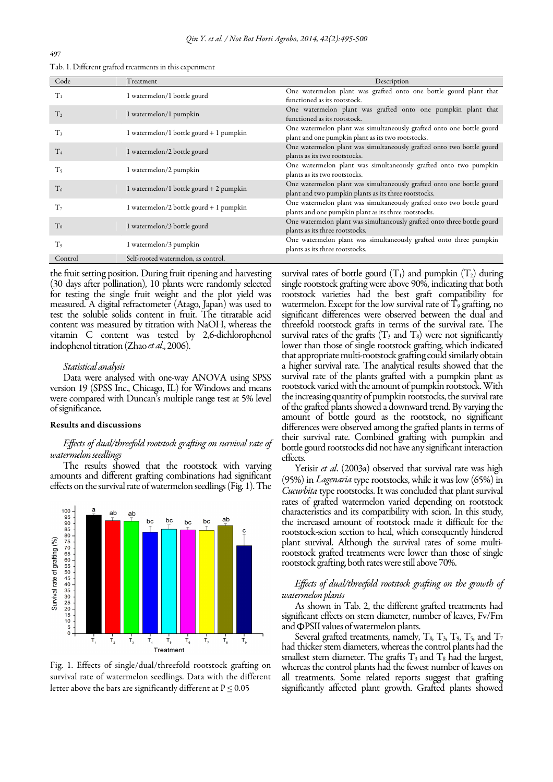|  |  | Tab. 1. Different grafted treatments in this experiment |
|--|--|---------------------------------------------------------|
|  |  |                                                         |

| Code           | Treatment                                     | Description                                                                                                                    |  |  |
|----------------|-----------------------------------------------|--------------------------------------------------------------------------------------------------------------------------------|--|--|
| $T_1$          | 1 watermelon/1 bottle gourd                   | One watermelon plant was grafted onto one bottle gourd plant that<br>functioned as its rootstock.                              |  |  |
| T <sub>2</sub> | 1 watermelon/1 pumpkin                        | One watermelon plant was grafted onto one pumpkin plant that<br>functioned as its rootstock.                                   |  |  |
| T <sub>3</sub> | $1$ watermelon/ $1$ bottle gourd $+1$ pumpkin | One watermelon plant was simultaneously grafted onto one bottle gourd<br>plant and one pumpkin plant as its two rootstocks.    |  |  |
| T <sub>4</sub> | 1 watermelon/2 bottle gourd                   | One watermelon plant was simultaneously grafted onto two bottle gourd<br>plants as its two rootstocks.                         |  |  |
| $T_{5}$        | 1 watermelon/2 pumpkin                        | One watermelon plant was simultaneously grafted onto two pumpkin<br>plants as its two rootstocks.                              |  |  |
| T <sub>6</sub> | 1 watermelon/1 bottle gourd + 2 pumpkin       | One watermelon plant was simultaneously grafted onto one bottle gourd<br>plant and two pumpkin plants as its three rootstocks. |  |  |
| T <sub>7</sub> | $1$ watermelon/2 bottle gourd + $1$ pumpkin   | One watermelon plant was simultaneously grafted onto two bottle gourd<br>plants and one pumpkin plant as its three rootstocks. |  |  |
| $T_{8}$        | 1 watermelon/3 bottle gourd                   | One watermelon plant was simultaneously grafted onto three bottle gourd<br>plants as its three rootstocks.                     |  |  |
| T <sub>9</sub> | 1 watermelon/3 pumpkin                        | One watermelon plant was simultaneously grafted onto three pumpkin<br>plants as its three rootstocks.                          |  |  |
| Control        | Self-rooted watermelon, as control.           |                                                                                                                                |  |  |

the fruit setting position. During fruit ripening and harvesting (30 days after pollination), 10 plants were randomly selected for testing the single fruit weight and the plot yield was measured. A digital refractometer (Atago, Japan) was used to test the soluble solids content in fruit. The titratable acid content was measured by titration with NaOH, whereas the vitamin C content was tested by 2,6-dichlorophenol indophenol titration (Zhao *et al.*, 2006).

#### Statistical analysis

Data were analysed with one-way ANOVA using SPSS version 19 (SPSS Inc., Chicago, IL) for Windows and means were compared with Duncan's multiple range test at 5% level of significance.

# Results and discussions

# Effects of dual/threefold rootstock grafting on survival rate of watermelon seedlings

The results showed that the rootstock with varying amounts and different grafting combinations had significant effects on the survival rate of watermelon seedlings (Fig. 1). The



 Fig. 1. Effects of single/dual/threefold rootstock grafting on survival rate of watermelon seedlings. Data with the different letter above the bars are significantly different at  $P \le 0.05$ 

survival rates of bottle gourd  $(T_1)$  and pumpkin  $(T_2)$  during single rootstock grafting were above 90%, indicating that both rootstock varieties had the best graft compatibility for watermelon. Except for the low survival rate of  $\overline{T}_9$  grafting, no significant differences were observed between the dual and threefold rootstock grafts in terms of the survival rate. The survival rates of the grafts  $(T_3 \text{ and } T_8)$  were not significantly lower than those of single rootstock grafting, which indicated that appropriate multi-rootstock grafting could similarly obtain a higher survival rate. The analytical results showed that the survival rate of the plants grafted with a pumpkin plant as rootstock varied with the amount of pumpkin rootstock. With the increasing quantity of pumpkin rootstocks, the survival rate of the grafted plants showed a downward trend. By varying the amount of bottle gourd as the rootstock, no significant differences were observed among the grafted plants in terms of their survival rate. Combined grafting with pumpkin and bottle gourd rootstocks did not have any significant interaction effects.

Yetisir et al. (2003a) observed that survival rate was high (95%) in Lagenaria type rootstocks, while it was low (65%) in Cucurbita type rootstocks. It was concluded that plant survival rates of grafted watermelon varied depending on rootstock characteristics and its compatibility with scion. In this study, the increased amount of rootstock made it difficult for the rootstock-scion section to heal, which consequently hindered plant survival. Although the survival rates of some multirootstock grafted treatments were lower than those of single rootstock grafting, both rates were still above 70%.

# Effects of dual/threefold rootstock grafting on the growth of watermelon plants

As shown in Tab. 2, the different grafted treatments had significant effects on stem diameter, number of leaves, Fv/Fm and ФPSII values of watermelon plants.

Several grafted treatments, namely,  $T_8$ ,  $T_3$ ,  $T_9$ ,  $T_5$ , and  $T_7$ had thicker stem diameters, whereas the control plants had the smallest stem diameter. The grafts  $T_3$  and  $T_8$  had the largest, whereas the control plants had the fewest number of leaves on all treatments. Some related reports suggest that grafting significantly affected plant growth. Grafted plants showed

497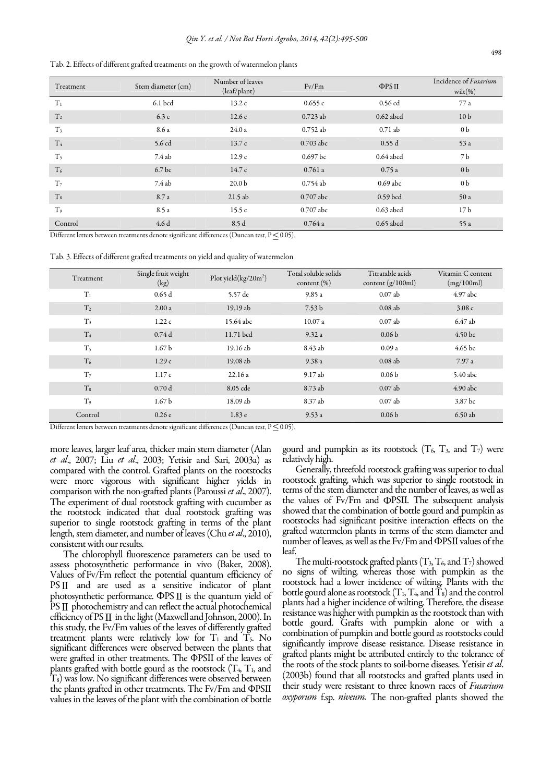Tab. 2. Effects of different grafted treatments on the growth of watermelon plants

| Treatment      | Stem diameter (cm) | Number of leaves<br>(leaf/plant) | Fv/Fm               | $\Phi$ PSII | Incidence of <i>Fusarium</i><br>$\text{wilt}(\%)$ |
|----------------|--------------------|----------------------------------|---------------------|-------------|---------------------------------------------------|
| $T_1$          | $6.1$ bcd          | 13.2c                            | 0.655c              | 0.56 cd     | 77 a                                              |
| T <sub>2</sub> | 6.3c               | 12.6c                            | $0.723$ ab          | $0.62$ abcd | 10 <sub>b</sub>                                   |
| $T_3$          | 8.6 a              | 24.0a                            | $0.752$ ab          | 0.71ab      | 0 <sub>b</sub>                                    |
| T <sub>4</sub> | 5.6 cd             | 13.7c                            | $0.703$ abc         | 0.55d       | 53 a                                              |
| T <sub>5</sub> | 7.4 ab             | 12.9c                            | 0.697 <sub>bc</sub> | $0.64$ abcd | 7 <sub>b</sub>                                    |
| T <sub>6</sub> | 6.7 <sub>bc</sub>  | 14.7c                            | 0.761a              | 0.75a       | 0 <sub>b</sub>                                    |
| T <sub>7</sub> | 7.4 ab             | 20.0 <sub>b</sub>                | 0.754 ab            | $0.69$ abc  | 0 <sub>b</sub>                                    |
| T <sub>8</sub> | 8.7 a              | $21.5$ ab                        | $0.707$ abc         | $0.59$ bcd  | 50a                                               |
| T <sub>9</sub> | 8.5 a              | 15.5c                            | $0.707$ abc         | $0.63$ abcd | 17 <sub>b</sub>                                   |
| Control        | 4.6d               | 8.5 d                            | 0.764a              | $0.65$ abcd | 55 a                                              |

Different letters between treatments denote significant differences (Duncan test, P ≤ 0.05).

Tab. 3. Effects of different grafted treatments on yield and quality of watermelon

| Treatment      | Single fruit weight<br>(kg) | Plot yield $(kg/20m^2)$ | Total soluble solids<br>content $(\%)$ | Titratable acids<br>content $(g/100ml)$ | Vitamin C content<br>(mg/100ml) |
|----------------|-----------------------------|-------------------------|----------------------------------------|-----------------------------------------|---------------------------------|
| $T_1$          | 0.65d                       | 5.57 de                 | 9.85 a                                 | $0.07$ ab                               | 4.97 abc                        |
| T <sub>2</sub> | 2.00a                       | 19.19ab                 | 7.53 b                                 | $0.08$ ab                               | 3.08c                           |
| $T_3$          | 1.22c                       | 15.64 abc               | 10.07a                                 | $0.07$ ab                               | 6.47 ab                         |
| T <sub>4</sub> | 0.74d                       | 11.71 bcd               | 9.32a                                  | 0.06 <sub>b</sub>                       | 4.50 <sub>bc</sub>              |
| T <sub>5</sub> | 1.67 <sub>b</sub>           | 19.16 ab                | 8.43 ab                                | 0.09a                                   | 4.65 <sub>bc</sub>              |
| T <sub>6</sub> | 1.29c                       | $19.08$ ab              | 9.38a                                  | $0.08$ ab                               | 7.97 a                          |
| T <sub>7</sub> | 1.17c                       | 22.16a                  | 9.17 ab                                | 0.06 <sub>b</sub>                       | $5.40$ abc                      |
| $T_8$          | 0.70d                       | 8.05 cde                | 8.73 ab                                | $0.07$ ab                               | $4.90$ abc                      |
| T <sub>9</sub> | 1.67 <sub>b</sub>           | 18.09 ab                | 8.37 ab                                | $0.07$ ab                               | 3.87 bc                         |
| Control        | 0.26e                       | 1.83e                   | 9.53a                                  | 0.06 <sub>b</sub>                       | $6.50$ ab                       |

Different letters between treatments denote significant differences (Duncan test, P ≤ 0.05).

more leaves, larger leaf area, thicker main stem diameter (Alan et al., 2007; Liu et al., 2003; Yetisir and Sari, 2003a) as compared with the control. Grafted plants on the rootstocks were more vigorous with significant higher yields in comparison with the non-grafted plants (Paroussi et al., 2007). The experiment of dual rootstock grafting with cucumber as the rootstock indicated that dual rootstock grafting was superior to single rootstock grafting in terms of the plant length, stem diameter, and number of leaves (Chu et al., 2010), consistent with our results.

The chlorophyll fluorescence parameters can be used to assess photosynthetic performance in vivo (Baker, 2008). Values of Fv/Fm reflect the potential quantum efficiency of PSⅡ and are used as a sensitive indicator of plant photosynthetic performance. ФPSⅡ is the quantum yield of PSⅡ photochemistry and can reflect the actual photochemical efficiency of PSⅡ in the light (Maxwell and Johnson, 2000). In this study, the Fv/Fm values of the leaves of differently grafted treatment plants were relatively low for  $T_1$  and  $T_5$ . No significant differences were observed between the plants that were grafted in other treatments. The ФPSII of the leaves of plants grafted with bottle gourd as the rootstock  $(T_4, T_1, T_2)$ T8) was low. No significant differences were observed between the plants grafted in other treatments. The Fv/Fm and ФPSII values in the leaves of the plant with the combination of bottle gourd and pumpkin as its rootstock  $(T_6, T_3, T_4)$  were relatively high.

Generally, threefold rootstock grafting was superior to dual rootstock grafting, which was superior to single rootstock in terms of the stem diameter and the number of leaves, as well as the values of Fv/Fm and ФPSII. The subsequent analysis showed that the combination of bottle gourd and pumpkin as rootstocks had significant positive interaction effects on the grafted watermelon plants in terms of the stem diameter and number of leaves, as well as the Fv/Fm and ФPSII values of the leaf.

The multi-rootstock grafted plants ( $T_3$ ,  $T_6$ , and  $T_7$ ) showed no signs of wilting, whereas those with pumpkin as the rootstock had a lower incidence of wilting. Plants with the bottle gourd alone as rootstock (T<sub>1</sub>, T<sub>4</sub>, and  $\breve{\mathrm{T}}_8$ ) and the control plants had a higher incidence of wilting. Therefore, the disease resistance was higher with pumpkin as the rootstock than with bottle gourd. Grafts with pumpkin alone or with a combination of pumpkin and bottle gourd as rootstocks could significantly improve disease resistance. Disease resistance in grafted plants might be attributed entirely to the tolerance of the roots of the stock plants to soil-borne diseases. Yetisir et al. (2003b) found that all rootstocks and grafted plants used in their study were resistant to three known races of Fusarium oxyporum f.sp. niveum. The non-grafted plants showed the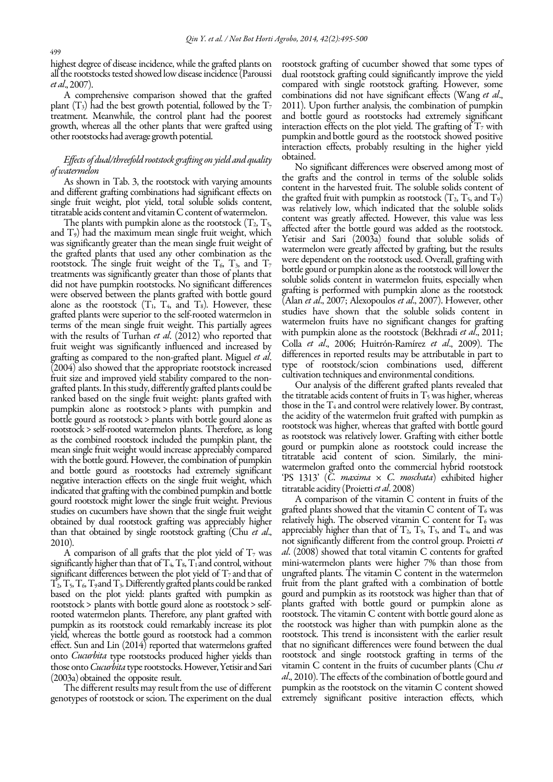highest degree of disease incidence, while the grafted plants on all the rootstocks tested showed low disease incidence (Paroussi et al., 2007).

A comprehensive comparison showed that the grafted plant  $(T_3)$  had the best growth potential, followed by the  $T_7$ treatment. Meanwhile, the control plant had the poorest growth, whereas all the other plants that were grafted using other rootstocks had average growth potential.

# Effects of dual/threefold rootstock grafting on yield and quality of watermelon

As shown in Tab. 3, the rootstock with varying amounts and different grafting combinations had significant effects on single fruit weight, plot yield, total soluble solids content, titratable acids content and vitamin C content of watermelon.

 studies on cucumbers have shown that the single fruit weight The plants with pumpkin alone as the rootstock  $(T_2, T_5, T_6)$ and  $T_9$ ) had the maximum mean single fruit weight, which was significantly greater than the mean single fruit weight of the grafted plants that used any other combination as the rootstock. The single fruit weight of the  $T_6$ ,  $T_3$ , and  $T_7$ treatments was significantly greater than those of plants that did not have pumpkin rootstocks. No significant differences were observed between the plants grafted with bottle gourd alone as the rootstock  $(T_1, T_4, T_5)$ . However, these grafted plants were superior to the self-rooted watermelon in terms of the mean single fruit weight. This partially agrees with the results of Turhan et al. (2012) who reported that fruit weight was significantly influenced and increased by grafting as compared to the non-grafted plant. Miguel et al. (2004) also showed that the appropriate rootstock increased fruit size and improved yield stability compared to the nongrafted plants. In this study, differently grafted plants could be ranked based on the single fruit weight: plants grafted with pumpkin alone as rootstock > plants with pumpkin and bottle gourd as rootstock > plants with bottle gourd alone as rootstock > self-rooted watermelon plants. Therefore, as long as the combined rootstock included the pumpkin plant, the mean single fruit weight would increase appreciably compared with the bottle gourd. However, the combination of pumpkin and bottle gourd as rootstocks had extremely significant negative interaction effects on the single fruit weight, which indicated that grafting with the combined pumpkin and bottle gourd rootstock might lower the single fruit weight. Previous obtained by dual rootstock grafting was appreciably higher than that obtained by single rootstock grafting (Chu et al., 2010).

A comparison of all grafts that the plot yield of  $T_7$  was significantly higher than that of  $T_4$ ,  $T_8$ ,  $T_1$  and control, without significant differences between the plot yield of  $T_7$  and that of  $T_2$ ,  $T_5$ ,  $T_6$ ,  $T_9$  and  $T_3$ . Differently grafted plants could be ranked based on the plot yield: plants grafted with pumpkin as rootstock > plants with bottle gourd alone as rootstock > selfrooted watermelon plants. Therefore, any plant grafted with pumpkin as its rootstock could remarkably increase its plot yield, whereas the bottle gourd as rootstock had a common effect. Sun and Lin (2014) reported that watermelons grafted onto Cucurbita type rootstocks produced higher yields than those onto Cucurbita type rootstocks. However, Yetisir and Sari  $(2003a)$  obtained the opposite result.

The different results may result from the use of different genotypes of rootstock or scion. The experiment on the dual rootstock grafting of cucumber showed that some types of dual rootstock grafting could significantly improve the yield compared with single rootstock grafting. However, some combinations did not have significant effects (Wang et al., 2011). Upon further analysis, the combination of pumpkin and bottle gourd as rootstocks had extremely significant interaction effects on the plot yield. The grafting of  $T_7$  with pumpkin and bottle gourd as the rootstock showed positive interaction effects, probably resulting in the higher yield obtained.

No significant differences were observed among most of the grafts and the control in terms of the soluble solids content in the harvested fruit. The soluble solids content of the grafted fruit with pumpkin as rootstock  $(T_2, T_5, T_6)$ was relatively low, which indicated that the soluble solids content was greatly affected. However, this value was less affected after the bottle gourd was added as the rootstock. Yetisir and Sari (2003a) found that soluble solids of watermelon were greatly affected by grafting, but the results were dependent on the rootstock used. Overall, grafting with bottle gourd or pumpkin alone as the rootstock will lower the soluble solids content in watermelon fruits, especially when grafting is performed with pumpkin alone as the rootstock (Alan et al., 2007; Alexopoulos et al., 2007). However, other studies have shown that the soluble solids content in watermelon fruits have no significant changes for grafting with pumpkin alone as the rootstock (Bekhradi et al., 2011; Colla et al., 2006; Huitrón-Ramírez et al., 2009). The differences in reported results may be attributable in part to type of rootstock/scion combinations used, different cultivation techniques and environmental conditions.

Our analysis of the different grafted plants revealed that the titratable acids content of fruits in  $T_5$  was higher, whereas those in the  $T_4$  and control were relatively lower. By contrast, the acidity of the watermelon fruit grafted with pumpkin as rootstock was higher, whereas that grafted with bottle gourd as rootstock was relatively lower. Grafting with either bottle gourd or pumpkin alone as rootstock could increase the titratable acid content of scion. Similarly, the miniwatermelon grafted onto the commercial hybrid rootstock 'PS 1313' (C. maxima  $\times$  C. moschata) exhibited higher titratable acidity (Proietti et al. 2008)

A comparison of the vitamin C content in fruits of the grafted plants showed that the vitamin C content of  $T_6$  was relatively high. The observed vitamin C content for  $T_6$  was appreciably higher than that of  $T_2$ ,  $T_9$ ,  $T_5$ , and  $T_4$ , and was not significantly different from the control group. Proietti et al. (2008) showed that total vitamin C contents for grafted mini-watermelon plants were higher 7% than those from ungrafted plants. The vitamin C content in the watermelon fruit from the plant grafted with a combination of bottle gourd and pumpkin as its rootstock was higher than that of plants grafted with bottle gourd or pumpkin alone as rootstock. The vitamin C content with bottle gourd alone as the rootstock was higher than with pumpkin alone as the rootstock. This trend is inconsistent with the earlier result that no significant differences were found between the dual rootstock and single rootstock grafting in terms of the vitamin C content in the fruits of cucumber plants (Chu et al., 2010). The effects of the combination of bottle gourd and pumpkin as the rootstock on the vitamin C content showed extremely significant positive interaction effects, which